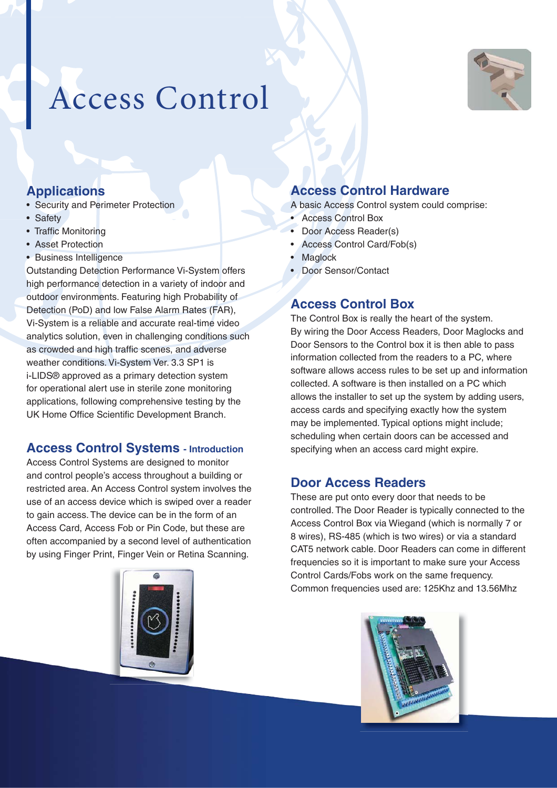

# Access Control

## **Applications**

- Security and Perimeter Protection
- Safety
- Traffic Monitoring
- Asset Protection
- Business Intelligence

Outstanding Detection Performance Vi-System offers high performance detection in a variety of indoor and outdoor environments. Featuring high Probability of Detection (PoD) and low False Alarm Rates (FAR), Vi-System is a reliable and accurate real-time video analytics solution, even in challenging conditions such as crowded and high traffic scenes, and adverse weather conditions. Vi-System Ver. 3.3 SP1 is i-LIDS® approved as a primary detection system for operational alert use in sterile zone monitoring applications, following comprehensive testing by the UK Home Office Scientific Development Branch.

#### **Access Control Systems - Introduction**

Access Control Systems are designed to monitor and control people's access throughout a building or restricted area. An Access Control system involves the use of an access device which is swiped over a reader to gain access. The device can be in the form of an Access Card, Access Fob or Pin Code, but these are often accompanied by a second level of authentication by using Finger Print, Finger Vein or Retina Scanning.



#### **Access Control Hardware**

A basic Access Control system could comprise:

- **Access Control Box**
- Door Access Reader(s)
- Access Control Card/Fob(s)
- Maglock
- Door Sensor/Contact

#### **Access Control Box**

The Control Box is really the heart of the system. By wiring the Door Access Readers, Door Maglocks and Door Sensors to the Control box it is then able to pass information collected from the readers to a PC, where software allows access rules to be set up and information collected. A software is then installed on a PC which allows the installer to set up the system by adding users, access cards and specifying exactly how the system may be implemented. Typical options might include; scheduling when certain doors can be accessed and specifying when an access card might expire.

#### **Door Access Readers**

These are put onto every door that needs to be controlled. The Door Reader is typically connected to the Access Control Box via Wiegand (which is normally 7 or 8 wires), RS-485 (which is two wires) or via a standard CAT5 network cable. Door Readers can come in different frequencies so it is important to make sure your Access Control Cards/Fobs work on the same frequency. Common frequencies used are: 125Khz and 13.56Mhz